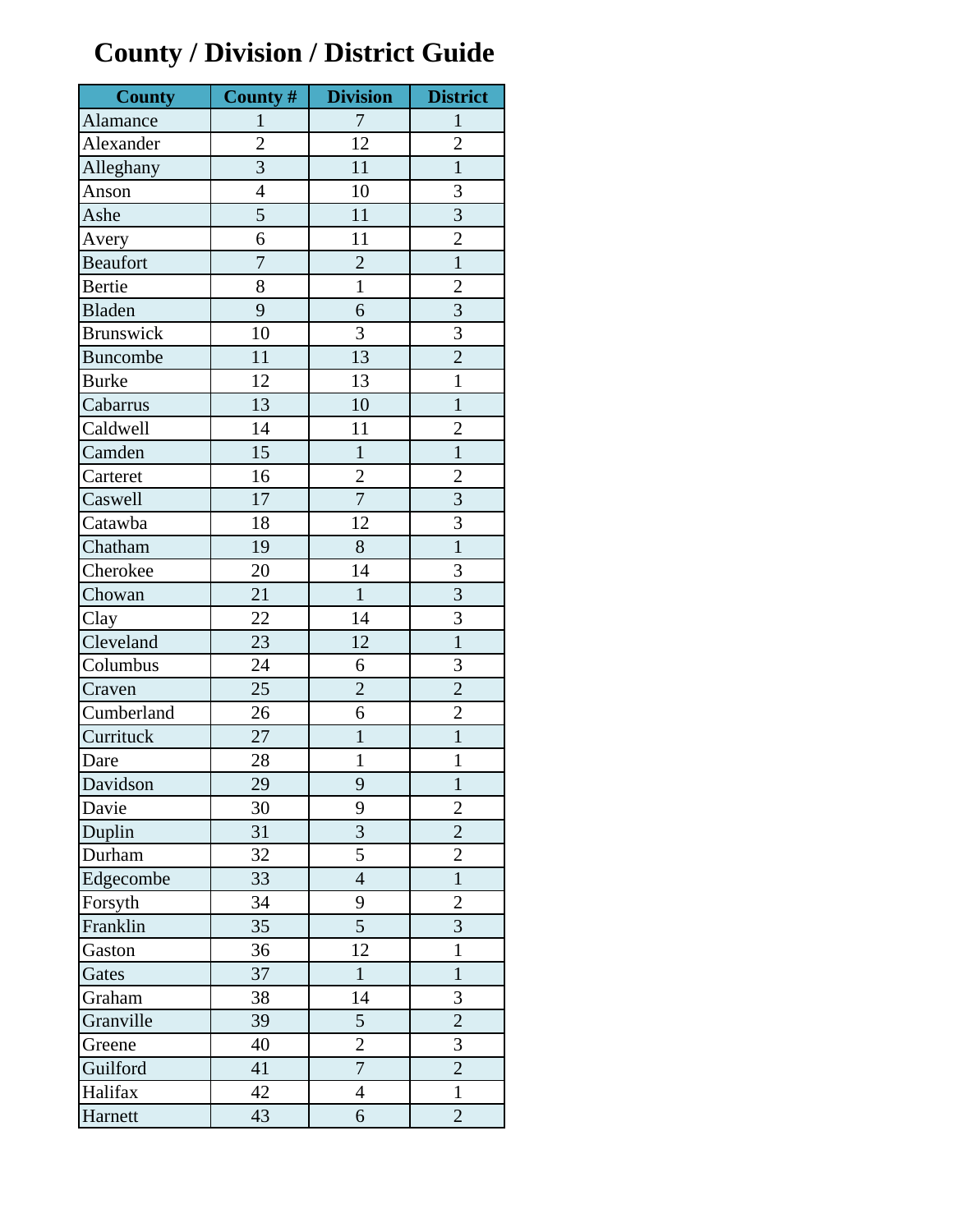## **County / Division / District Guide**

| <b>County</b>    | County #       | <b>Division</b> | <b>District</b> |
|------------------|----------------|-----------------|-----------------|
| Alamance         | $\mathbf{1}$   | $\tau$          | $\mathbf{1}$    |
| Alexander        | $\overline{2}$ | 12              | $\overline{2}$  |
| Alleghany        | $\overline{3}$ | 11              | $\mathbf{1}$    |
| Anson            | $\overline{4}$ | 10              | 3               |
| Ashe             | 5              | 11              | $\overline{3}$  |
| Avery            | 6              | 11              | $\overline{2}$  |
| <b>Beaufort</b>  | $\overline{7}$ | $\overline{2}$  | $\overline{1}$  |
| Bertie           | 8              | $\mathbf{1}$    | $\overline{c}$  |
| Bladen           | 9              | 6               | $\overline{3}$  |
| <b>Brunswick</b> | 10             | 3               | 3               |
| Buncombe         | 11             | 13              | $\overline{2}$  |
| <b>Burke</b>     | 12             | 13              | $\mathbf{1}$    |
| Cabarrus         | 13             | 10              | $\mathbf{1}$    |
| Caldwell         | 14             | 11              | $\overline{2}$  |
| Camden           | 15             | $\mathbf{1}$    | $\mathbf{1}$    |
| Carteret         | 16             | $\overline{c}$  | $\overline{c}$  |
| Caswell          | 17             | $\overline{7}$  | $\overline{3}$  |
| Catawba          | 18             | 12              | $\overline{3}$  |
| Chatham          | 19             | 8               | $\overline{1}$  |
| Cherokee         | 20             | 14              | 3               |
| Chowan           | 21             | $\mathbf{1}$    | $\overline{3}$  |
| Clay             | 22             | 14              | $\overline{3}$  |
| Cleveland        | 23             | 12              | $\mathbf{1}$    |
| Columbus         | 24             | 6               | 3               |
| Craven           | 25             | $\overline{2}$  | $\overline{2}$  |
| Cumberland       | 26             | 6               | $\overline{2}$  |
| Currituck        | 27             | $\mathbf{1}$    | $\mathbf{1}$    |
| Dare             | 28             | $\mathbf{1}$    | $\mathbf{1}$    |
| Davidson         | 29             | 9               | $\mathbf{1}$    |
| Davie            | 30             | 9               | $\overline{2}$  |
| Duplin           | 31             | $\overline{3}$  | $\overline{2}$  |
| Durham           | 32             | 5               | $\overline{c}$  |
| Edgecombe        | 33             | $\overline{4}$  | $\mathbf{1}$    |
| Forsyth          | 34             | 9               | $\overline{2}$  |
| Franklin         | 35             | 5               | $\overline{3}$  |
| Gaston           | 36             | 12              | $\mathbf{1}$    |
| Gates            | 37             | $\mathbf{1}$    | $\mathbf{1}$    |
| Graham           | 38             | 14              | 3               |
| Granville        | 39             | 5               | $\overline{2}$  |
| Greene           | 40             | $\overline{2}$  | 3               |
| Guilford         | 41             | $\overline{7}$  | $\overline{c}$  |
| Halifax          | 42             | $\overline{4}$  | $\mathbf{1}$    |
| Harnett          | 43             | 6               | $\overline{2}$  |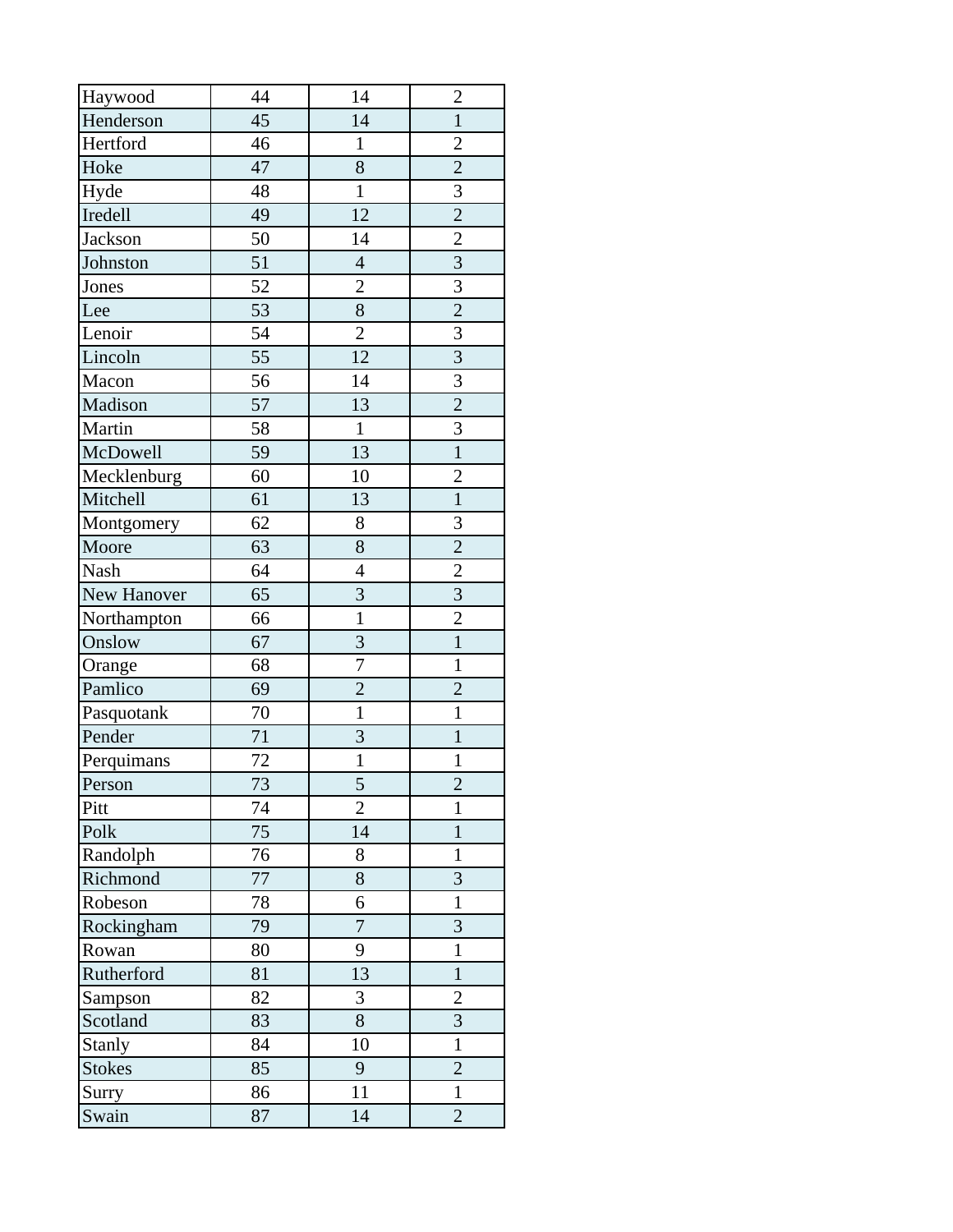| Haywood        | 44 | 14             | $\overline{2}$          |
|----------------|----|----------------|-------------------------|
| Henderson      | 45 | 14             | $\mathbf{1}$            |
| Hertford       | 46 | $\mathbf{1}$   | $\overline{c}$          |
| Hoke           | 47 | $\overline{8}$ | $\overline{2}$          |
| Hyde           | 48 | $\mathbf{1}$   | $\overline{\mathbf{3}}$ |
| Iredell        | 49 | 12             | $\overline{2}$          |
| <b>Jackson</b> | 50 | 14             | $\overline{2}$          |
| Johnston       | 51 | $\overline{4}$ | $\overline{3}$          |
| Jones          | 52 | $\overline{c}$ | $\overline{3}$          |
| Lee            | 53 | $\overline{8}$ | $\overline{2}$          |
| Lenoir         | 54 | $\overline{2}$ | 3                       |
| Lincoln        | 55 | 12             | $\overline{3}$          |
| Macon          | 56 | 14             | $\overline{3}$          |
| Madison        | 57 | 13             | $\overline{2}$          |
| Martin         | 58 | $\mathbf{1}$   | $\overline{3}$          |
| McDowell       | 59 | 13             | $\overline{1}$          |
| Mecklenburg    | 60 | 10             | $\overline{c}$          |
| Mitchell       | 61 | 13             | $\overline{1}$          |
| Montgomery     | 62 | 8              | 3                       |
| Moore          | 63 | 8              | $\overline{2}$          |
| Nash           | 64 | $\overline{4}$ | $\overline{2}$          |
| New Hanover    | 65 | $\overline{3}$ | $\overline{3}$          |
| Northampton    | 66 | $\mathbf{1}$   | $\overline{2}$          |
| Onslow         | 67 | $\overline{3}$ | $\overline{1}$          |
| Orange         | 68 | 7              | $\mathbf{1}$            |
| Pamlico        | 69 | $\overline{2}$ | $\overline{2}$          |
| Pasquotank     | 70 | $\mathbf{1}$   | $\mathbf{1}$            |
| Pender         | 71 | $\overline{3}$ | $\mathbf{1}$            |
| Perquimans     | 72 | $\mathbf{1}$   | $\mathbf{1}$            |
| Person         | 73 | 5              | $\overline{c}$          |
| Pitt           | 74 | $\overline{2}$ | 1                       |
| Polk           | 75 | 14             | $\mathbf{1}$            |
| Randolph       | 76 | 8              | $\mathbf{1}$            |
| Richmond       | 77 | 8              | 3                       |
| Robeson        | 78 | 6              | $\mathbf{1}$            |
| Rockingham     | 79 | $\overline{7}$ | 3                       |
| Rowan          | 80 | 9              | $\mathbf{1}$            |
| Rutherford     | 81 | 13             | $\mathbf{1}$            |
| Sampson        | 82 | 3              | $\overline{c}$          |
| Scotland       | 83 | 8              | $\overline{3}$          |
| <b>Stanly</b>  | 84 | 10             | $\mathbf{1}$            |
| <b>Stokes</b>  | 85 | 9              | $\overline{c}$          |
| Surry          | 86 | 11             | $\mathbf{1}$            |
| Swain          | 87 | 14             | $\overline{2}$          |